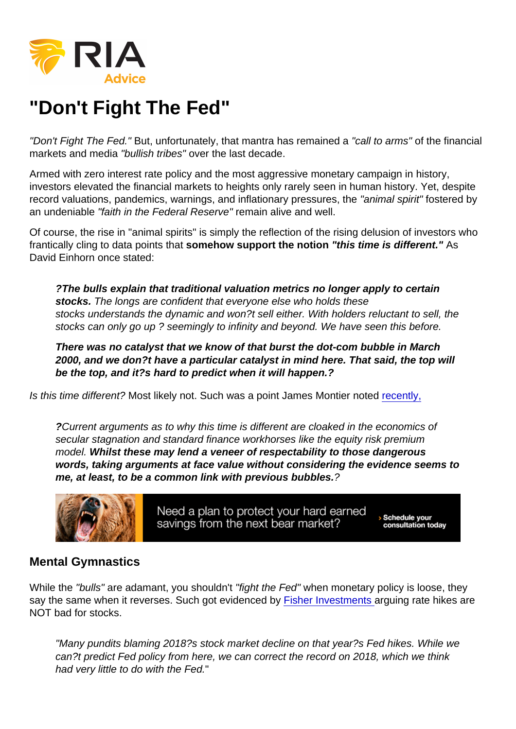## "Don't Fight The Fed"

"Don't Fight The Fed." But, unfortunately, that mantra has remained a "call to arms" of the financial markets and media "bullish tribes" over the last decade.

Armed with zero interest rate policy and the most aggressive monetary campaign in history, investors elevated the financial markets to heights only rarely seen in human history. Yet, despite record valuations, pandemics, warnings, and inflationary pressures, the "animal spirit" fostered by an undeniable "faith in the Federal Reserve" remain alive and well.

Of course, the rise in "animal spirits" is simply the reflection of the rising delusion of investors who frantically cling to data points that somehow support the notion "this time is different." As David Einhorn once stated:

?The bulls explain that traditional valuation metrics no longer apply to certain stocks. The longs are confident that everyone else who holds these stocks understands the dynamic and won?t sell either. With holders reluctant to sell, the stocks can only go up ? seemingly to infinity and beyond. We have seen this before.

There was no catalyst that we know of that burst the dot-com bubble in March 2000, and we don?t have a particular catalyst in mind here. That said, the top will be the top, and it?s hard to predict when it will happen.?

Is this time different? Most likely not. Such was a point James Montier noted [recently,](https://www.scribd.com/document/345081288/Six-Impossible-Things-Before-Breakfast)

?Current arguments as to why this time is different are cloaked in the economics of secular stagnation and standard finance workhorses like the equity risk premium model. Whilst these may lend a veneer of respectability to those dangerous words, taking arguments at face value without considering the evidence seems to me, at least, to be a common link with previous bubbles. ?

## Mental Gymnastics

While the "bulls" are adamant, you shouldn't "fight the Fed" when monetary policy is loose, they say the same when it reverses. Such got evidenced by [Fisher Investments](https://www.fisherinvestments.com/en-us/marketminder/2018-doesnt-prove-rate-hikes-are-bad-for-stocks) arguing rate hikes are NOT bad for stocks.

"Many pundits blaming 2018?s stock market decline on that year?s Fed hikes. While we can?t predict Fed policy from here, we can correct the record on 2018, which we think had very little to do with the Fed."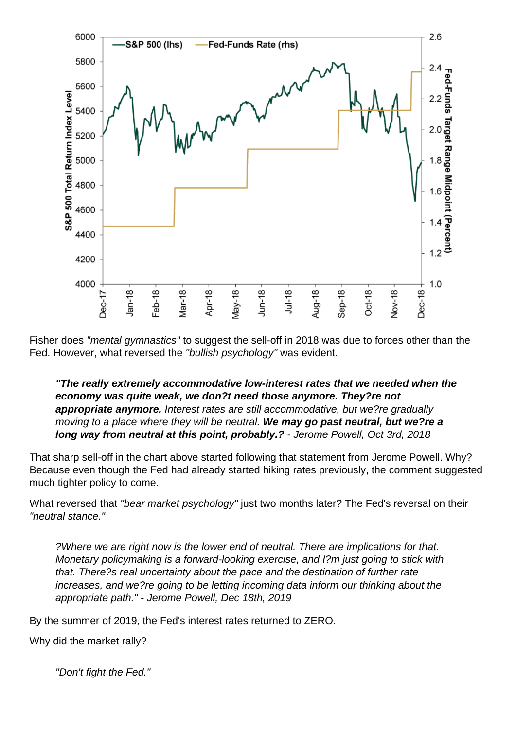Fisher does "mental gymnastics" to suggest the sell-off in 2018 was due to forces other than the Fed. However, what reversed the "bullish psychology" was evident.

"The really extremely accommodative low-interest rates that we needed when the economy was quite weak, we don?t need those anymore. They?re not appropriate anymore. Interest rates are still accommodative, but we?re gradually moving to a place where they will be neutral. We may go past neutral, but we?re a long way from neutral at this point, probably.? - Jerome Powell, Oct 3rd, 2018

That sharp sell-off in the chart above started following that statement from Jerome Powell. Why? Because even though the Fed had already started hiking rates previously, the comment suggested much tighter policy to come.

What reversed that "bear market psychology" just two months later? The Fed's reversal on their "neutral stance."

?Where we are right now is the lower end of neutral. There are implications for that. Monetary policymaking is a forward-looking exercise, and I?m just going to stick with that. There?s real uncertainty about the pace and the destination of further rate increases, and we?re going to be letting incoming data inform our thinking about the appropriate path." - Jerome Powell, Dec 18th, 2019

By the summer of 2019, the Fed's interest rates returned to ZERO.

Why did the market rally?

"Don't fight the Fed."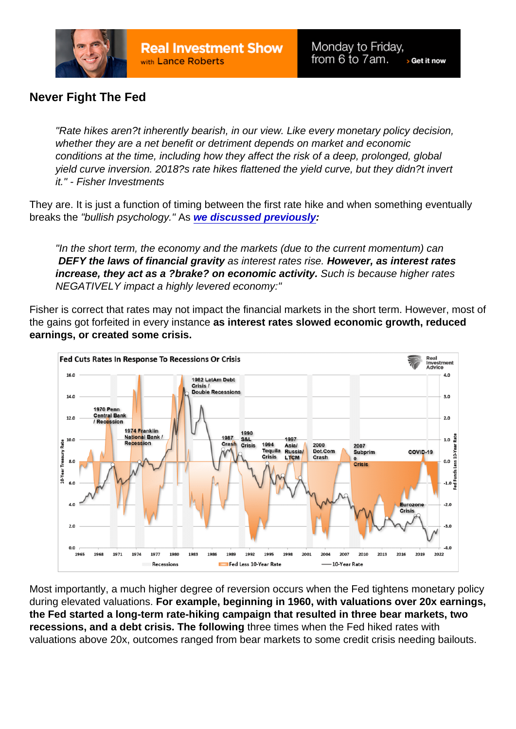## Never Fight The Fed

"Rate hikes aren?t inherently bearish, in our view. Like every monetary policy decision, whether they are a net benefit or detriment depends on market and economic conditions at the time, including how they affect the risk of a deep, prolonged, global yield curve inversion. 2018?s rate hikes flattened the yield curve, but they didn?t invert it." - Fisher Investments

They are. It is just a function of timing between the first rate hike and when something eventually breaks the "bullish psychology." As [we discussed previously](https://realinvestmentadvice.com/rising-interest-rates-matter-to-the-stock-market/) :

"In the short term, the economy and the markets (due to the current momentum) can DEFY the laws of financial gravity as interest rates rise. However, as interest rates increase, they act as a ?brake? on economic activity. Such is because higher rates NEGATIVELY impact a highly levered economy:"

Fisher is correct that rates may not impact the financial markets in the short term. However, most of the gains got forfeited in every instance as interest rates slowed economic growth, reduced earnings, or created some crisis.

Most importantly, a much higher degree of reversion occurs when the Fed tightens monetary policy during elevated valuations. For example, beginning in 1960, with valuations over 20x earnings, the Fed started a long-term rate-hiking campaign that resulted in three bear markets, two recessions, and a debt crisis. The following three times when the Fed hiked rates with valuations above 20x, outcomes ranged from bear markets to some credit crisis needing bailouts.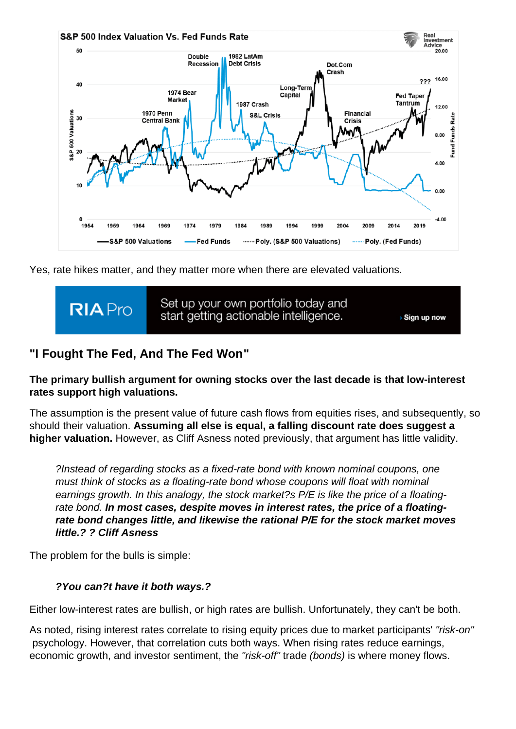Yes, rate hikes matter, and they matter more when there are elevated valuations.

## "I Fought The Fed, And The Fed Won "

The primary bullish argument for owning stocks over the last decade is that low-interest rates support high valuations.

The assumption is the present value of future cash flows from equities rises, and subsequently, so should their valuation. Assuming all else is equal, a falling discount rate does suggest a higher valuation. However, as Cliff Asness noted previously, that argument has little validity.

?Instead of regarding stocks as a fixed-rate bond with known nominal coupons, one must think of stocks as a floating-rate bond whose coupons will float with nominal earnings growth. In this analogy, the stock market?s P/E is like the price of a floatingrate bond. In most cases, despite moves in interest rates, the price of a floatingrate bond changes little, and likewise the rational P/E for the stock market moves little.? ? Cliff Asness

The problem for the bulls is simple:

?You can?t have it both ways.?

Either low-interest rates are bullish, or high rates are bullish. Unfortunately, they can't be both.

As noted, rising interest rates correlate to rising equity prices due to market participants' "risk-on" psychology. However, that correlation cuts both ways. When rising rates reduce earnings, economic growth, and investor sentiment, the "risk-off" trade (bonds) is where money flows.